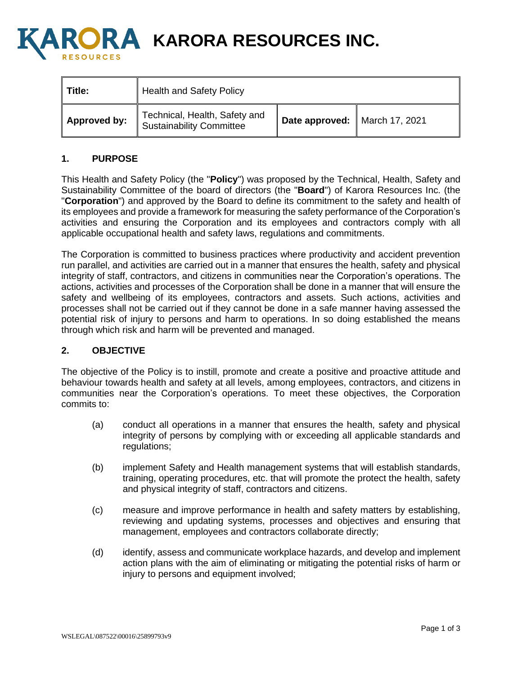

**A KARORA RESOURCES INC.** 

| Title:              | I Health and Safety Policy                                |                               |  |
|---------------------|-----------------------------------------------------------|-------------------------------|--|
| <b>Approved by:</b> | Technical, Health, Safety and<br>Sustainability Committee | Date approved: March 17, 2021 |  |

## **1. PURPOSE**

This Health and Safety Policy (the "**Policy**") was proposed by the Technical, Health, Safety and Sustainability Committee of the board of directors (the "**Board**") of Karora Resources Inc. (the "**Corporation**") and approved by the Board to define its commitment to the safety and health of its employees and provide a framework for measuring the safety performance of the Corporation's activities and ensuring the Corporation and its employees and contractors comply with all applicable occupational health and safety laws, regulations and commitments.

The Corporation is committed to business practices where productivity and accident prevention run parallel, and activities are carried out in a manner that ensures the health, safety and physical integrity of staff, contractors, and citizens in communities near the Corporation's operations. The actions, activities and processes of the Corporation shall be done in a manner that will ensure the safety and wellbeing of its employees, contractors and assets. Such actions, activities and processes shall not be carried out if they cannot be done in a safe manner having assessed the potential risk of injury to persons and harm to operations. In so doing established the means through which risk and harm will be prevented and managed.

## **2. OBJECTIVE**

The objective of the Policy is to instill, promote and create a positive and proactive attitude and behaviour towards health and safety at all levels, among employees, contractors, and citizens in communities near the Corporation's operations. To meet these objectives, the Corporation commits to:

- (a) conduct all operations in a manner that ensures the health, safety and physical integrity of persons by complying with or exceeding all applicable standards and regulations;
- (b) implement Safety and Health management systems that will establish standards, training, operating procedures, etc. that will promote the protect the health, safety and physical integrity of staff, contractors and citizens.
- (c) measure and improve performance in health and safety matters by establishing, reviewing and updating systems, processes and objectives and ensuring that management, employees and contractors collaborate directly;
- (d) identify, assess and communicate workplace hazards, and develop and implement action plans with the aim of eliminating or mitigating the potential risks of harm or injury to persons and equipment involved;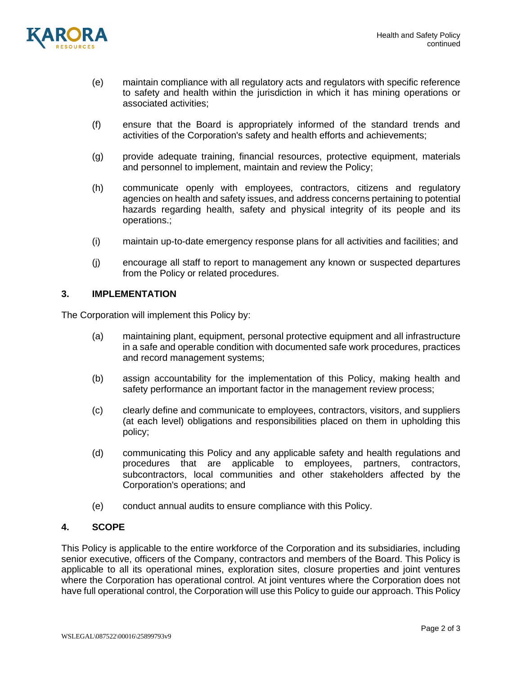

- (e) maintain compliance with all regulatory acts and regulators with specific reference to safety and health within the jurisdiction in which it has mining operations or associated activities;
- (f) ensure that the Board is appropriately informed of the standard trends and activities of the Corporation's safety and health efforts and achievements;
- (g) provide adequate training, financial resources, protective equipment, materials and personnel to implement, maintain and review the Policy;
- (h) communicate openly with employees, contractors, citizens and regulatory agencies on health and safety issues, and address concerns pertaining to potential hazards regarding health, safety and physical integrity of its people and its operations.;
- (i) maintain up-to-date emergency response plans for all activities and facilities; and
- (j) encourage all staff to report to management any known or suspected departures from the Policy or related procedures.

## **3. IMPLEMENTATION**

The Corporation will implement this Policy by:

- (a) maintaining plant, equipment, personal protective equipment and all infrastructure in a safe and operable condition with documented safe work procedures, practices and record management systems;
- (b) assign accountability for the implementation of this Policy, making health and safety performance an important factor in the management review process;
- (c) clearly define and communicate to employees, contractors, visitors, and suppliers (at each level) obligations and responsibilities placed on them in upholding this policy;
- (d) communicating this Policy and any applicable safety and health regulations and procedures that are applicable to employees, partners, contractors, subcontractors, local communities and other stakeholders affected by the Corporation's operations; and
- (e) conduct annual audits to ensure compliance with this Policy.

## **4. SCOPE**

This Policy is applicable to the entire workforce of the Corporation and its subsidiaries, including senior executive, officers of the Company, contractors and members of the Board. This Policy is applicable to all its operational mines, exploration sites, closure properties and joint ventures where the Corporation has operational control. At joint ventures where the Corporation does not have full operational control, the Corporation will use this Policy to guide our approach. This Policy